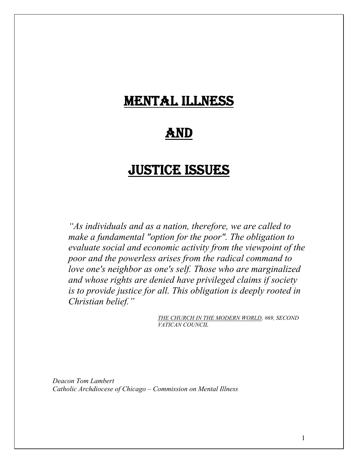# MENTAL ILLNESS

## AND

## JUSTICE ISSUES

*"As individuals and as a nation, therefore, we are called to make a fundamental "option for the poor". The obligation to evaluate social and economic activity from the viewpoint of the poor and the powerless arises from the radical command to love one's neighbor as one's self. Those who are marginalized and whose rights are denied have privileged claims if society is to provide justice for all. This obligation is deeply rooted in Christian belief."* 

> *THE CHURCH IN THE MODERN WORLD, #69, SECOND VATICAN COUNCIL*

*Deacon Tom Lambert Catholic Archdiocese of Chicago – Commission on Mental Illness*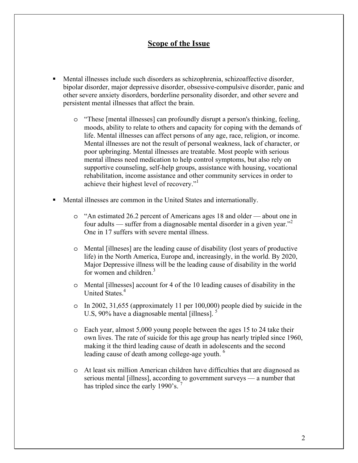### **Scope of the Issue**

- Mental illnesses include such disorders as schizophrenia, schizoaffective disorder, bipolar disorder, major depressive disorder, obsessive-compulsive disorder, panic and other severe anxiety disorders, borderline personality disorder, and other severe and persistent mental illnesses that affect the brain.
	- o "These [mental illnesses] can profoundly disrupt a person's thinking, feeling, moods, ability to relate to others and capacity for coping with the demands of life. Mental illnesses can affect persons of any age, race, religion, or income. Mental illnesses are not the result of personal weakness, lack of character, or poor upbringing. Mental illnesses are treatable. Most people with serious mental illness need medication to help control symptoms, but also rely on supportive counseling, self-help groups, assistance with housing, vocational rehabilitation, income assistance and other community services in order to achieve their highest level of recovery."1
- Mental illnesses are common in the United States and internationally.
	- o "An estimated 26.2 percent of Americans ages 18 and older about one in four adults — suffer from a diagnosable mental disorder in a given year.<sup> $2$ </sup> One in 17 suffers with severe mental illness.
	- o Mental [illneses] are the leading cause of disability (lost years of productive life) in the North America, Europe and, increasingly, in the world. By 2020, Major Depressive illness will be the leading cause of disability in the world for women and children.<sup>3</sup>
	- o Mental [illnesses] account for 4 of the 10 leading causes of disability in the United States.<sup>4</sup>
	- o In 2002, 31,655 (approximately 11 per 100,000) people died by suicide in the U.S, 90% have a diagnosable mental [illness].
	- o Each year, almost 5,000 young people between the ages 15 to 24 take their own lives. The rate of suicide for this age group has nearly tripled since 1960, making it the third leading cause of death in adolescents and the second leading cause of death among college-age youth. <sup>6</sup>
	- o At least six million American children have difficulties that are diagnosed as serious mental [illness], according to government surveys — a number that has tripled since the early 1990's.<sup>7</sup>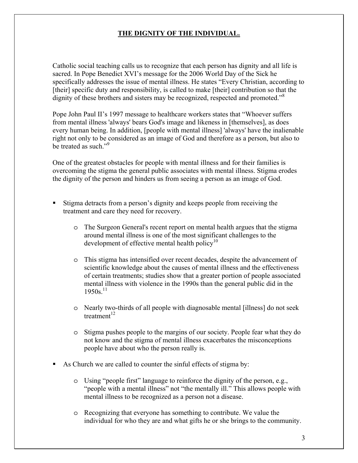### **THE DIGNITY OF THE INDIVIDUAL.**

Catholic social teaching calls us to recognize that each person has dignity and all life is sacred. In Pope Benedict XVI's message for the 2006 World Day of the Sick he specifically addresses the issue of mental illness. He states "Every Christian, according to [their] specific duty and responsibility, is called to make [their] contribution so that the dignity of these brothers and sisters may be recognized, respected and promoted.<sup>38</sup>

Pope John Paul II's 1997 message to healthcare workers states that "Whoever suffers from mental illness 'always' bears God's image and likeness in [themselves], as does every human being. In addition, [people with mental illness] 'always' have the inalienable right not only to be considered as an image of God and therefore as a person, but also to be treated as such "<sup>9</sup>

One of the greatest obstacles for people with mental illness and for their families is overcoming the stigma the general public associates with mental illness. Stigma erodes the dignity of the person and hinders us from seeing a person as an image of God.

- Stigma detracts from a person's dignity and keeps people from receiving the treatment and care they need for recovery.
	- o The Surgeon General's recent report on mental health argues that the stigma around mental illness is one of the most significant challenges to the development of effective mental health policy<sup>10</sup>
	- o This stigma has intensified over recent decades, despite the advancement of scientific knowledge about the causes of mental illness and the effectiveness of certain treatments; studies show that a greater portion of people associated mental illness with violence in the 1990s than the general public did in the  $1950s$ <sup>11</sup>
	- o Nearly two-thirds of all people with diagnosable mental [illness] do not seek treatment $12$
	- o Stigma pushes people to the margins of our society. People fear what they do not know and the stigma of mental illness exacerbates the misconceptions people have about who the person really is.
- As Church we are called to counter the sinful effects of stigma by:
	- o Using "people first" language to reinforce the dignity of the person, e.g., "people with a mental illness" not "the mentally ill." This allows people with mental illness to be recognized as a person not a disease.
	- o Recognizing that everyone has something to contribute. We value the individual for who they are and what gifts he or she brings to the community.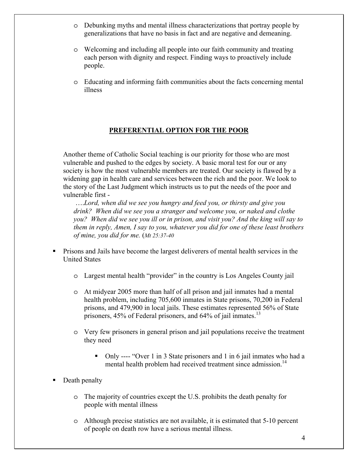- o Debunking myths and mental illness characterizations that portray people by generalizations that have no basis in fact and are negative and demeaning.
- o Welcoming and including all people into our faith community and treating each person with dignity and respect. Finding ways to proactively include people.
- o Educating and informing faith communities about the facts concerning mental illness

### **PREFERENTIAL OPTION FOR THE POOR**

Another theme of Catholic Social teaching is our priority for those who are most vulnerable and pushed to the edges by society. A basic moral test for our or any society is how the most vulnerable members are treated. Our society is flawed by a widening gap in health care and services between the rich and the poor. We look to the story of the Last Judgment which instructs us to put the needs of the poor and vulnerable first -

 ….*Lord, when did we see you hungry and feed you, or thirsty and give you drink? When did we see you a stranger and welcome you, or naked and clothe you? When did we see you ill or in prison, and visit you? And the king will say to them in reply, Amen, I say to you, whatever you did for one of these least brothers of mine, you did for me.* (*Mt 25:37-40*

- **Prisons and Jails have become the largest deliverers of mental health services in the** United States
	- o Largest mental health "provider" in the country is Los Angeles County jail
	- o At midyear 2005 more than half of all prison and jail inmates had a mental health problem, including 705,600 inmates in State prisons, 70,200 in Federal prisons, and 479,900 in local jails. These estimates represented 56% of State prisoners, 45% of Federal prisoners, and 64% of jail inmates.<sup>13</sup>
	- o Very few prisoners in general prison and jail populations receive the treatment they need
		- Only ---- "Over 1 in 3 State prisoners and 1 in 6 jail inmates who had a mental health problem had received treatment since admission.<sup>14</sup>
- Death penalty
	- o The majority of countries except the U.S. prohibits the death penalty for people with mental illness
	- $\circ$  Although precise statistics are not available, it is estimated that 5-10 percent of people on death row have a serious mental illness.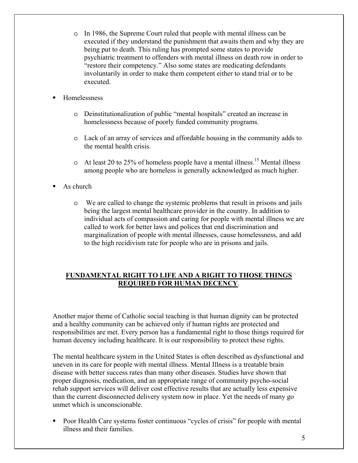- o In 1986, the Supreme Court ruled that people with mental illness can be executed if they understand the punishment that awaits them and why they are being put to death. This ruling has prompted some states to provide psychiatric treatment to offenders with mental illness on death row in order to "restore their competency." Also some states are medicating defendants involuntarily in order to make them competent either to stand trial or to be executed.
- Homelessness
	- o Deinstitutionalization of public "mental hospitals" created an increase in homelessness because of poorly funded community programs.
	- o Lack of an array of services and affordable housing in the community adds to the mental health crisis.
	- $\circ$  At least 20 to 25% of homeless people have a mental illness.<sup>15</sup> Mental illness among people who are homeless is generally acknowledged as much higher.
- As church
	- o We are called to change the systemic problems that result in prisons and jails being the largest mental healthcare provider in the country. In addition to individual acts of compassion and caring for people with mental illness we are called to work for better laws and polices that end discrimination and marginalization of people with mental illnesses, cause homelessness, and add to the high recidivism rate for people who are in prisons and jails.

#### **FUNDAMENTAL RIGHT TO LIFE AND A RIGHT TO THOSE THINGS REQUIRED FOR HUMAN DECENCY**.

Another major theme of Catholic social teaching is that human dignity can be protected and a healthy community can be achieved only if human rights are protected and responsibilities are met. Every person has a fundamental right to those things required for human decency including healthcare. It is our responsibility to protect these rights.

The mental healthcare system in the United States is often described as dysfunctional and uneven in its care for people with mental illness. Mental Illness is a treatable brain disease with better success rates than many other diseases. Studies have shown that proper diagnosis, medication, and an appropriate range of community psycho-social rehab support services will deliver cost effective results that are actually less expensive than the current disconnected delivery system now in place. Yet the needs of many go unmet which is unconscionable.

 Poor Health Care systems foster continuous "cycles of crisis" for people with mental illness and their families.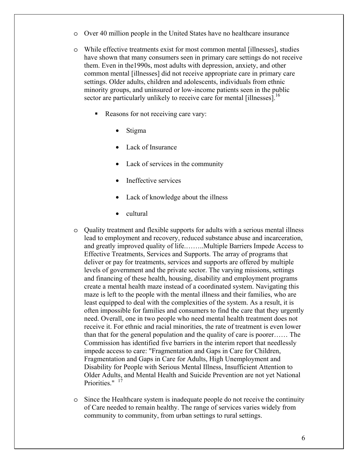- o Over 40 million people in the United States have no healthcare insurance
- o While effective treatments exist for most common mental [illnesses], studies have shown that many consumers seen in primary care settings do not receive them. Even in the1990s, most adults with depression, anxiety, and other common mental [illnesses] did not receive appropriate care in primary care settings. Older adults, children and adolescents, individuals from ethnic minority groups, and uninsured or low-income patients seen in the public sector are particularly unlikely to receive care for mental [illnesses].<sup>16</sup>
	- Reasons for not receiving care vary:
		- Stigma
		- Lack of Insurance
		- Lack of services in the community
		- Ineffective services
		- Lack of knowledge about the illness
		- cultural
- o Quality treatment and flexible supports for adults with a serious mental illness lead to employment and recovery, reduced substance abuse and incarceration, and greatly improved quality of life.……..Multiple Barriers Impede Access to Effective Treatments, Services and Supports. The array of programs that deliver or pay for treatments, services and supports are offered by multiple levels of government and the private sector. The varying missions, settings and financing of these health, housing, disability and employment programs create a mental health maze instead of a coordinated system. Navigating this maze is left to the people with the mental illness and their families, who are least equipped to deal with the complexities of the system. As a result, it is often impossible for families and consumers to find the care that they urgently need. Overall, one in two people who need mental health treatment does not receive it. For ethnic and racial minorities, the rate of treatment is even lower than that for the general population and the quality of care is poorer…… The Commission has identified five barriers in the interim report that needlessly impede access to care: "Fragmentation and Gaps in Care for Children, Fragmentation and Gaps in Care for Adults, High Unemployment and Disability for People with Serious Mental Illness, Insufficient Attention to Older Adults, and Mental Health and Suicide Prevention are not yet National Priorities." <sup>17</sup>
- o Since the Healthcare system is inadequate people do not receive the continuity of Care needed to remain healthy. The range of services varies widely from community to community, from urban settings to rural settings.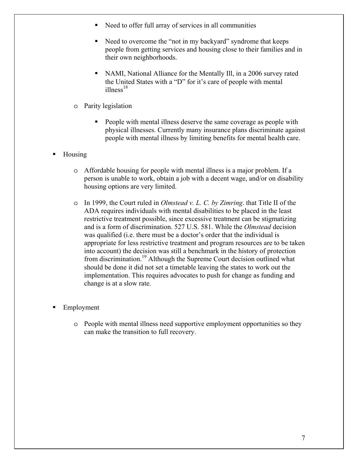- Need to offer full array of services in all communities
- Need to overcome the "not in my backyard" syndrome that keeps people from getting services and housing close to their families and in their own neighborhoods.
- NAMI, National Alliance for the Mentally Ill, in a 2006 survey rated the United States with a "D" for it's care of people with mental  $ilness<sup>18</sup>$
- o Parity legislation
	- People with mental illness deserve the same coverage as people with physical illnesses. Currently many insurance plans discriminate against people with mental illness by limiting benefits for mental health care.
- **Housing** 
	- o Affordable housing for people with mental illness is a major problem. If a person is unable to work, obtain a job with a decent wage, and/or on disability housing options are very limited.
	- o In 1999, the Court ruled in *Olmstead v. L. C. by Zimring*. that Title II of the ADA requires individuals with mental disabilities to be placed in the least restrictive treatment possible, since excessive treatment can be stigmatizing and is a form of discrimination. 527 U.S. 581. While the *Olmstead* decision was qualified (i.e. there must be a doctor's order that the individual is appropriate for less restrictive treatment and program resources are to be taken into account) the decision was still a benchmark in the history of protection from discrimination.19 Although the Supreme Court decision outlined what should be done it did not set a timetable leaving the states to work out the implementation. This requires advocates to push for change as funding and change is at a slow rate.
- **Employment** 
	- o People with mental illness need supportive employment opportunities so they can make the transition to full recovery.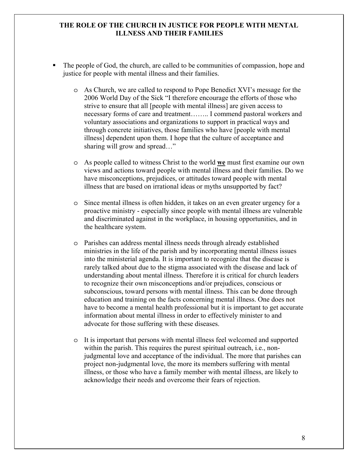#### **THE ROLE OF THE CHURCH IN JUSTICE FOR PEOPLE WITH MENTAL ILLNESS AND THEIR FAMILIES**

- The people of God, the church, are called to be communities of compassion, hope and justice for people with mental illness and their families.
	- o As Church, we are called to respond to Pope Benedict XVI's message for the 2006 World Day of the Sick "I therefore encourage the efforts of those who strive to ensure that all [people with mental illness] are given access to necessary forms of care and treatment…….. I commend pastoral workers and voluntary associations and organizations to support in practical ways and through concrete initiatives, those families who have [people with mental illness] dependent upon them. I hope that the culture of acceptance and sharing will grow and spread…"
	- o As people called to witness Christ to the world **we** must first examine our own views and actions toward people with mental illness and their families. Do we have misconceptions, prejudices, or attitudes toward people with mental illness that are based on irrational ideas or myths unsupported by fact?
	- o Since mental illness is often hidden, it takes on an even greater urgency for a proactive ministry - especially since people with mental illness are vulnerable and discriminated against in the workplace, in housing opportunities, and in the healthcare system.
	- o Parishes can address mental illness needs through already established ministries in the life of the parish and by incorporating mental illness issues into the ministerial agenda. It is important to recognize that the disease is rarely talked about due to the stigma associated with the disease and lack of understanding about mental illness. Therefore it is critical for church leaders to recognize their own misconceptions and/or prejudices, conscious or subconscious, toward persons with mental illness. This can be done through education and training on the facts concerning mental illness. One does not have to become a mental health professional but it is important to get accurate information about mental illness in order to effectively minister to and advocate for those suffering with these diseases.
	- o It is important that persons with mental illness feel welcomed and supported within the parish. This requires the purest spiritual outreach, i.e., nonjudgmental love and acceptance of the individual. The more that parishes can project non-judgmental love, the more its members suffering with mental illness, or those who have a family member with mental illness, are likely to acknowledge their needs and overcome their fears of rejection.